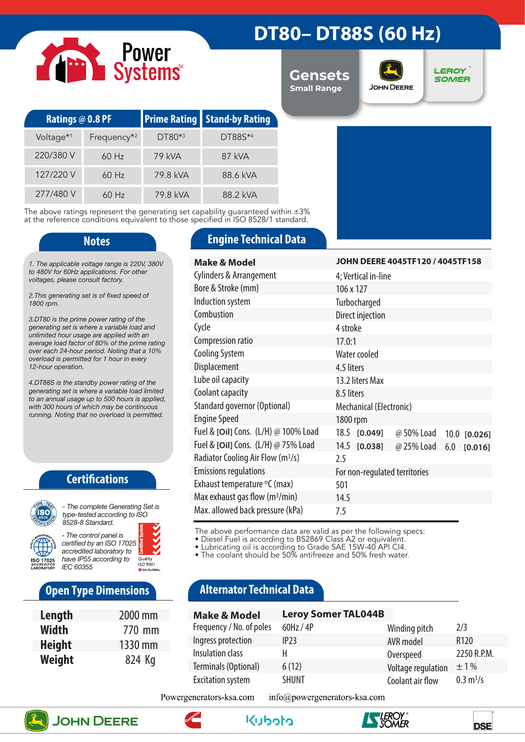# Power<br>Systems

# **DT80– DT88S (60 Hz)**

**Gensets Small Range**



**LEROY SOMER** 

| Ratings @ 0.8 PF      |                         |          | <b>Prime Rating Stand-by Rating</b> |  |
|-----------------------|-------------------------|----------|-------------------------------------|--|
| Voltage <sup>*1</sup> | Frequency <sup>*2</sup> | DT80*3   | DT88S*4                             |  |
| 220/380 V             | $60$ Hz                 | 79 kVA   | 87 kVA                              |  |
| 127/220 V             | $60$ Hz                 | 79.8 kVA | 88.6 kVA                            |  |
| 277/480 V             | $60$ Hz                 | 79.8 kVA | 88.2 kVA                            |  |

The above ratings represent the generating set capability guaranteed within ±3% at the reference conditions equivalent to those specified in ISO 8528/1 standard.

*1. The applicable voltage range is 220V, 380V to 480V for 60Hz applications. For other voltages, please consult factory.* 

*2.This generating set is of fixed speed of 1800 rpm.*

*3.DT80 is the prime power rating of the generating set is where a variable load and unlimited hour usage are applied with an average load factor of 80% of the prime rating over each 24-hour period. Noting that a 10% overload is permitted for 1 hour in every 12-hour operation.*

*4.DT88S is the standby power rating of the generating set is where a variable load limited to an annual usage up to 500 hours is applied, with 300 hours of which may be continuous running. Noting that no overload is permitted.*

### **Certifications**



*type-tested according to ISO 8528-8 Standard. - The control panel is* 

*certified by an ISO 17025 accredited laboratory to have IP55 according to*  Quality<br>ISO 9001 *IEC 60355*

### **Open Type Dimensions**

| Length        | 2000 mm |
|---------------|---------|
| Width         | 770 mm  |
| <b>Height</b> | 1330 mm |
| Weight        | 824 Kg  |

### **Notes Engine Technical Data**

| <b>Make &amp; Model</b>                       | JOHN DEERE 4045TF120 / 4045TF158             |  |  |  |
|-----------------------------------------------|----------------------------------------------|--|--|--|
| <b>Cylinders &amp; Arrangement</b>            | 4; Vertical in-line                          |  |  |  |
| Bore & Stroke (mm)                            | 106 x 127                                    |  |  |  |
| Induction system                              | Turbocharged                                 |  |  |  |
| Combustion                                    | Direct injection                             |  |  |  |
| Cycle                                         | 4 stroke                                     |  |  |  |
| Compression ratio                             | 17.0:1                                       |  |  |  |
| <b>Cooling System</b>                         | Water cooled                                 |  |  |  |
| Displacement                                  | 4.5 liters                                   |  |  |  |
| Lube oil capacity                             | 13.2 liters Max                              |  |  |  |
| Coolant capacity                              | 8.5 liters                                   |  |  |  |
| Standard governor (Optional)                  | Mechanical (Electronic)                      |  |  |  |
| <b>Engine Speed</b>                           | 1800 rpm                                     |  |  |  |
| Fuel & [Oil] Cons. (L/H) @ 100% Load          | 18.5 [0.049]<br>@ 50% Load 10.0 [0.026]      |  |  |  |
| Fuel & [Oil] Cons. (L/H) @ 75% Load           | 14.5 [0.038]<br>@ 25% Load<br>6.0<br>[0.016] |  |  |  |
| Radiator Cooling Air Flow (m <sup>3</sup> /s) | 2.5                                          |  |  |  |
| <b>Emissions regulations</b>                  | For non-regulated territories                |  |  |  |
| Exhaust temperature $\mathrm{C}$ (max)        | 501                                          |  |  |  |
| Max exhaust gas flow $(m^3/min)$              | 14.5                                         |  |  |  |
| Max. allowed back pressure (kPa)              | 7.5                                          |  |  |  |

The above performance data are valid as per the following specs:

• Diesel Fuel is according to BS2869 Class A2 or equivalent.

• Lubricating oil is according to Grade SAE 15W-40 API CI4.

• The coolant should be 50% antifreeze and 50% fresh water.

## **Alternator Technical Data**

| <b>Make &amp; Model</b>  | <b>Leroy Somer TAL044B</b> |                    |                            |
|--------------------------|----------------------------|--------------------|----------------------------|
| Frequency / No. of poles | 60Hz / 4P                  | Winding pitch      | 2/3                        |
| Ingress protection       | IP23                       | AVR model          | R <sub>120</sub>           |
| Insulation class         | н                          | Overspeed          | 2250 R.P.M.                |
| Terminals (Optional)     | 6(12)                      | Voltage regulation | $\pm 1\%$                  |
| <b>Excitation system</b> | <b>SHUNT</b>               | Coolant air flow   | $0.3 \text{ m}^3/\text{s}$ |

Powergenerators-ksa.com info@powergenerators-ksa.com









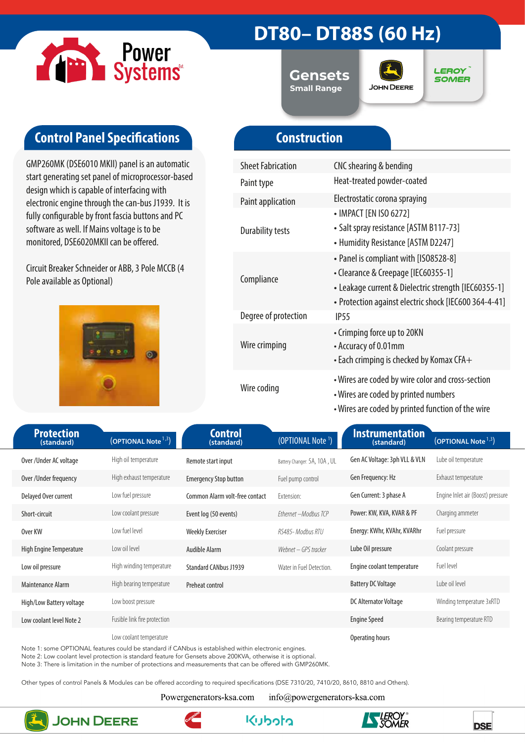

# **DT80– DT88S (60 Hz)**

**Gensets Small Range**



**LEROY SOMER** 

# **Control Panel Specifications**

GMP260MK (DSE6010 MKII) panel is an automatic start generating set panel of microprocessor-based design which is capable of interfacing with electronic engine through the can-bus J1939. It is fully configurable by front fascia buttons and PC software as well. If Mains voltage is to be monitored, DSE6020MKII can be offered.

Circuit Breaker Schneider or ABB, 3 Pole MCCB (4 Pole available as Optional)



# **Construction**

| <b>Sheet Fabrication</b> | CNC shearing & bending                                                                                                                                                                        |
|--------------------------|-----------------------------------------------------------------------------------------------------------------------------------------------------------------------------------------------|
| Paint type               | Heat-treated powder-coated                                                                                                                                                                    |
| <b>Paint application</b> | Electrostatic corona spraying                                                                                                                                                                 |
| <b>Durability tests</b>  | • IMPACT [EN ISO 6272]<br>• Salt spray resistance [ASTM B117-73]<br>• Humidity Resistance [ASTM D2247]                                                                                        |
| Compliance               | • Panel is compliant with [ISO8528-8]<br>• Clearance & Creepage [IEC60355-1]<br>• Leakage current & Dielectric strength [IEC60355-1]<br>• Protection against electric shock [IEC600 364-4-41] |
| Degree of protection     | IP <sub>55</sub>                                                                                                                                                                              |
| Wire crimping            | • Crimping force up to 20KN<br>• Accuracy of 0.01mm<br>$\bullet$ Each crimping is checked by Komax CFA $+$                                                                                    |
| Wire coding              | • Wires are coded by wire color and cross-section<br>• Wires are coded by printed numbers<br>• Wires are coded by printed function of the wire                                                |

| <b>Protection</b><br>(standard) | (OPTIONAL Note <sup>1,3</sup> ) | <b>Control</b><br>(standard)   | (OPTIONAL Note <sup>1</sup> ) | <b>Instrumentation</b><br>(standard) | (OPTIONAL Note <sup>1,3</sup> )   |
|---------------------------------|---------------------------------|--------------------------------|-------------------------------|--------------------------------------|-----------------------------------|
| Over/Under AC voltage           | High oil temperature            | Remote start input             | Battery Changer: 5A, 10A, UL  | Gen AC Voltage: 3ph VLL & VLN        | Lube oil temperature              |
| Over / Under frequency          | High exhaust temperature        | <b>Emergency Stop button</b>   | Fuel pump control             | Gen Frequency: Hz                    | Exhaust temperature               |
| Delayed Over current            | Low fuel pressure               | Common Alarm volt-free contact | Extension:                    | Gen Current: 3 phase A               | Engine Inlet air (Boost) pressure |
| Short-circuit                   | Low coolant pressure            | Event log (50 events)          | Ethernet - Modbus TCP         | Power: KW, KVA, KVAR & PF            | Charging ammeter                  |
| Over KW                         | Low fuel level                  | <b>Weekly Exerciser</b>        | RS485- Modbus RTU             | Energy: KWhr, KVAhr, KVARhr          | Fuel pressure                     |
| High Engine Temperature         | Low oil level                   | Audible Alarm                  | Webnet – GPS tracker          | Lube Oil pressure                    | Coolant pressure                  |
| Low oil pressure                | High winding temperature        | <b>Standard CANbus J1939</b>   | Water in Fuel Detection.      | Engine coolant temperature           | Fuel level                        |
| Maintenance Alarm               | High bearing temperature        | Preheat control                |                               | <b>Battery DC Voltage</b>            | Lube oil level                    |
| High/Low Battery voltage        | Low boost pressure              |                                |                               | <b>DC Alternator Voltage</b>         | Winding temperature 3xRTD         |
| Low coolant level Note 2        | Fusible link fire protection    |                                |                               | <b>Engine Speed</b>                  | Bearing temperature RTD           |
|                                 | Low coolant temperature         |                                |                               | Operating hours                      |                                   |

Note 1: some OPTIONAL features could be standard if CANbus is established within electronic engines.

Note 2: Low coolant level protection is standard feature for Gensets above 200KVA, otherwise it is optional.

Note 3: There is limitation in the number of protections and measurements that can be offered with GMP260MK.

Other types of control Panels & Modules can be offered according to required specifications (DSE 7310/20, 7410/20, 8610, 8810 and Others).

Powergenerators-ksa.com

info@powergenerators-ksa.com



**JOHN DEERE**